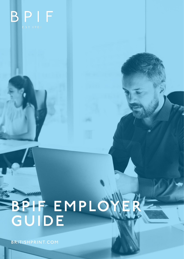

# **BPIF EMPLOYER GUIDE**

۰

BRITISHPRINT.COM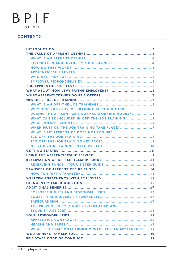# **CONTENTS**

| WHY MUST OFF-THE-JOB TRAINING BE CONDUCTED              |
|---------------------------------------------------------|
| DURING THE APPRENTICE'S NORMAL WORKING HOURS?  8        |
|                                                         |
|                                                         |
|                                                         |
| WHAT IF MY APPRENTICE DOES NOT REQUIRE                  |
|                                                         |
|                                                         |
|                                                         |
|                                                         |
|                                                         |
|                                                         |
|                                                         |
|                                                         |
|                                                         |
|                                                         |
|                                                         |
|                                                         |
|                                                         |
|                                                         |
|                                                         |
| THE PREVENT DUTY (COUNTER-TERRORISM AND                 |
|                                                         |
|                                                         |
|                                                         |
|                                                         |
| WHAT IS THE NATIONAL MINIMUM WAGE FOR AN APPRENTICE? 19 |
|                                                         |
|                                                         |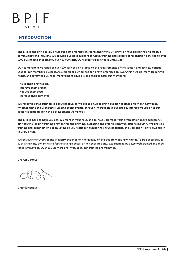# INTRODUCTION

The BPIF is the principal business support organisation representing the UK print, printed packaging and graphic communications industry. We provide business support services, training and sector representation services to over 1,200 businesses that employ over 60,000 staff. Our sector experience is unrivalled.

Our comprehensive range of over 200 services is tailored to the requirements of the sector, and actively contributes to our members' success. As a member owned not-for-profit organisation, everything we do, from training to health and safety to business improvement advice is designed to help our members:

- Raise their profitability
- Improve their profile
- Reduce their costs
- Increase their turnover

We recognise that business is about people, so we act as a hub to bring people together and widen networks, whether that's at our industry leading social events, through interaction in our special interest groups or at our sector specific training and development workshops.

The BPIF is here to help you achieve more in your role, and to help you make your organisation more successful. BPIF are the leading training provider for the printing, packaging and graphic communications industry. We provide training and qualifications at all levels so your staff can realise their true potential, and you can fill any skills gap in your business.

We believe the future of the industry depends on the quality of the people working within it. To be successful in such a thriving, dynamic and fast changing sector, print needs not only experienced but also well trained and motivated employees. Over 500 learners are involved in our training programmes.

Charles Jarrold

Chief Executive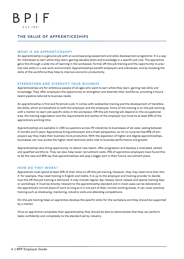### THE VALUE OF APPRENTICESHIPS

#### WHAT IS AN APPRENTICESHIP?

An apprenticeship is a genuine job with an accompanying assessment and skills development programme. It is a way for individuals to earn while they learn, gaining valuable skills and knowledge in a specific job role. The apprentice gains this through a wide mix of learning in the workplace, formal off-the-job training and the opportunity to practise new skills in a real work environment. Apprenticeships benefit employers and individuals, and by boosting the skills of the workforce they help to improve economic productivity.

#### STRENGTHEN AND DIVERSIFY YOUR BUSINESS

Apprenticeships are for ambitious people of all ages who want to earn while they learn, gaining real skills and knowledge. They offer employers the opportunity to strengthen and diversify their workforce, providing a future talent pipeline tailored to business needs.

An apprenticeship is first and foremost a job. It comes with substantial training and the development of transferable skills, which are beneficial to both the employer and the employee. Some of the training is on-the-job working with a mentor to learn job-specific skills in the workplace. Off-the-job training will depend on the occupational area, the training organisation and the requirements and wishes of the employer but must be at least 20% of the apprentice's working time.

Apprenticeships are available in 1,500 occupations across 170 industries to businesses of all sizes, lasting between 12 months and 5 years. Apprentices bring enthusiasm and a fresh perspective, so it's no surprise that 89% of employers say they make their business more productive. With the expansion of higher and degree apprenticeships, businesses can now access the higher-level technical skills vital to business performance and growth.

Apprenticeships also bring opportunity; to attract new talent, offer progression and develop a motivated, skilled and qualified workforce. They can also help lower recruitment costs; 75% of apprentice employers have found this to be the case and 80% say that apprenticeships will play a bigger part in their future recruitment plans.

#### HOW DO THEY WORK?

Apprentices must spend at least 20% of their time on off-the-job training. However, they may need more than this if, for example, they need training in English and maths. It is up to the employer and training provider to decide how the off-the-job training is delivered. It may include regular day release, block release and special training days or workshops. It must be directly relevant to the apprenticeship standard and in most cases can be delivered at the apprentice's normal place of work as long as it is not part of their normal working duties. It can cover practical training such as shadowing, mentoring, industry visits and attending competitions.

On-the-job training helps an apprentice develop the specific skills for the workplace and they should be supported by a mentor.

Once an apprentice completes their apprenticeship they should be able to demonstrate that they can perform tasks confidently and completely to the standard set by industry.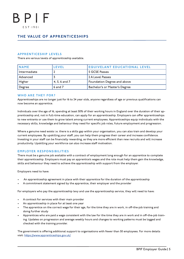### THE VALUE OF APPRENTICESHIPS

#### APPRENTICESHIP LEVELS

There are various levels of apprenticeship available.

| <b>NAME</b>  | <b>LEVEL</b>        | <b>EQUIVELANT EDUCATIONAL LEVEL</b> |  |  |
|--------------|---------------------|-------------------------------------|--|--|
| Intermediate |                     | <b>5 GCSE Passes</b>                |  |  |
| Advanced     |                     | 2 A Level Passes                    |  |  |
| Higher       | $  4, 5, 6$ and $7$ | Foundation Degree and above         |  |  |
| Degree       | 6 and 7             | Bachelor's or Master's Degree       |  |  |

#### WHO ARE THEY FOR?

Apprenticeships are no longer just for 16 to 24 year olds, anyone regardless of age or previous qualifications can now become an apprentice.

Individuals over the age of 16, spending at least 50% of their working hours in England over the duration of their apprenticeship and, not in full-time education, can apply for an apprenticeship. Employers can offer apprenticeships to new entrants or use them to grow talent among current employees. Apprenticeships equip individuals with the necessary skills, knowledge and behaviour they need for specific job roles, future employment and progression.

Where a genuine need exists i.e. there is a skills gap within your organisation, you can also train and develop your current employees. By upskilling your staff, you can help them progress their career and increase confidence. Investing in your staff can be financially rewarding, as they are more efficient than new recruits and will increase productivity. Upskilling your workforce can also increase staff motivation.

#### EMPLOYER RESPONSIBILITIES

There must be a genuine job available with a contract of employment long enough for an apprentice to complete their apprenticeship. Employers must pay an apprentice's wages and the role must help them gain the knowledge, skills and behaviour they need to achieve the apprenticeship with support from the employer.

Employers need to have:

- An apprenticeship agreement in place with their apprentice for the duration of the apprenticeship
- A commitment statement signed by the apprentice, their employer and the provider

For employers who pay the apprenticeship levy and use the apprenticeship service, they will need to have:

- A contract for services with their main provider
- An apprenticeship in place for at least one year
- The apprentice on the correct wage for their age, for the time they are in work, in off-the-job training and doing further study
- Apprentices who are paid a wage consistent with the law for the time they are in work and in off-the-job training. Updates on progression and average weekly hours and changes to working patterns must be logged and checked with the training provider.

The government is offering additional support to organisations with fewer than 50 employees. For more details visit: https://www.apprenticeships.gov.uk/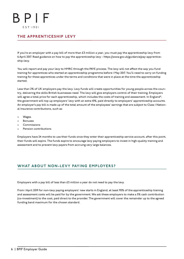# THE APPRENTICESHIP LEVY

If you're an employer with a pay bill of more than £3 million a year, you must pay the apprenticeship levy from 6 April 2017. Read guidance on how to pay the apprenticeship levy - https://www.gov.uk/guidance/pay-apprenticeship-levy.

You will report and pay your levy to HMRC through the PAYE process. The levy will not affect the way you fund training for apprentices who started an apprenticeship programme before 1 May 2017. You'll need to carry on funding training for these apprentices under the terms and conditions that were in place at the time the apprenticeship started.

Less than 2% of UK employers pay the levy. Levy funds will create opportunities for young people across the country, delivering the skills British businesses need. The levy will give employers control of their training. Employers will agree a total price for each apprenticeship, which includes the costs of training and assessment. In England\*, the government will top up employers' levy with an extra 10%, paid directly to employers' apprenticeship accounts. An employer's pay bill is made up of the total amount of the employees' earnings that are subject to Class 1 National Insurance contributions, such as:

- **Wages**
- **Bonuses**
- Commissions
- Pension contributions

Employers have 24 months to use their funds once they enter their apprenticeship service account, after this point, their funds will expire. The funds expire to encourage levy paying employers to invest in high-quality training and assessment and to prevent levy payers from accruing very large balances.

# WHAT ABOUT NON-LEVY PAYING EMPLOYERS?

Employers with a pay bill of less than £3 million a year do not need to pay the levy.

From 1 April 2019 for non-levy paying employers' new starts in England, at least 95% of the apprenticeship training and assessment costs will be paid for by the government. We ask these employers to make a 5% cash contribution (co-investment) to the cost, paid direct to the provider. The government will cover the remainder up to the agreed funding band maximum for the chosen standard.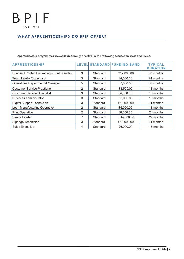# WHAT APPRENTICESHIPS DO BPIF OFFER?

Apprenticeship programmes are available through the BPIF in the following occupation areas and levels:

| <b>APPRENTICESHIP</b>                        |   |          | LEVEL STANDARD FUNDING BAND | <b>TYPICAL</b><br><b>DURATION</b> |
|----------------------------------------------|---|----------|-----------------------------|-----------------------------------|
| Print and Printed Packaging - Print Standard | 3 | Standard | £12,000.00                  | 30 months                         |
| <b>Team Leader/Supervisor</b>                | 3 | Standard | £4,500.00                   | 24 months                         |
| Operations/Departmental Manager              | 5 | Standard | £7,000.00                   | 30 months                         |
| <b>Customer Service Practioner</b>           | 2 | Standard | £3,500.00                   | 18 months                         |
| <b>Customer Service Specialist</b>           | 3 | Standard | £4,000.00                   | 18 months                         |
| <b>Business Administrator</b>                | 3 | Standard | £5,000.00                   | 18 months                         |
| Digital Support Technician                   | 3 | Standard | £13,000.00                  | 24 months                         |
| Lean Manufacturing Operative                 | 2 | Standard | £6,000.00                   | 18 months                         |
| <b>Print Operative</b>                       | 2 | Standard | £8,000.00                   | 24 months                         |
| Senior Leader                                |   | Standard | £14,000.00                  | 24 months                         |
| Signage Technician                           | 3 | Standard | £10,000.00                  | 24 months                         |
| <b>Sales Executive</b>                       | 4 | Standard | £6,000.00                   | 18 months                         |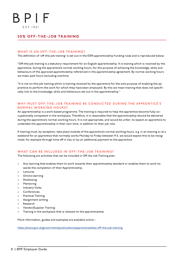### 20% OFF-THE-JOB TRAINING

#### WHAT IS AN OFF-THE-JOB TRAINING?

The definition of 'off-the-job training' is set out in the ESFA apprenticeship funding rules and is reproduced below:

"Off-the-job training is a statutory requirement for an English apprenticeship. It is training which is received by the apprentice, during the apprentice's normal working hours, for the purpose of achieving the knowledge, skills and behaviours of the approved apprenticeship referenced in the apprenticeship agreement. By normal working hours we mean paid hours excluding overtime.

"It is not on-the-job training which is training received by the apprentice for the sole purpose of enabling the apprentice to perform the work for which they have been employed. By this we mean training that does not specifically link to the knowledge, skills and behaviours set out in the apprenticeship."

#### WHY MUST OFF-THE-JOB TRAINING BE CONDUCTED DURING THE APPRENTICE'S NORMAL WORKING HOURS?

An apprenticeship is a work-based programme. The training is required to help the apprentice become fully occupationally competent in the workplace. Therefore, it is reasonable that the apprenticeship should be delivered during the apprentice's normal working hours. It is not appropriate, and would be unfair, to expect an apprentice to undertake the apprenticeship in their own time, in addition to their job role.

If training must, by exception, take place outside of the apprentice's normal working hours, e.g. in an evening or at a weekend for an apprentice that normally works Monday to Friday between 9-5, we would expect this to be recognised, for example through time off in lieu or by an additional payment to the apprentice.

#### WHAT CAN BE INCLUDED IN OFF-THE-JOB TRAINING?

The following are activities that can be included in Off the Job Training plan:

- Any learning that enables them to work towards their apprenticeship standard or enables them to work towards the completion of their Apprenticeship.
- **Lectures**
- Online learning
- **Shadowing**
- Mentoring
- Industry Visits
- **Conferences**
- Practical Training
- Assignment writing
- **Research**
- Vendor/Supplier Training
- Training in the workplace that is relevant to the apprenticeship

More information, guides and examples are available online -

https://www.gov.uk/government/publications/apprenticeships-off-the-job-training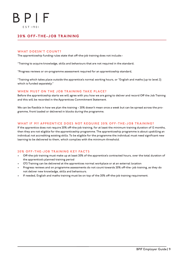### 20% OFF-THE-JOB TRAINING

#### WHAT DOESN'T COUNT?

The apprenticeship funding rules state that off-the-job training does not include:-

"Training to acquire knowledge, skills and behaviours that are not required in the standard;

"Progress reviews or on-programme assessment required for an apprenticeship standard,

"Training which takes place outside the apprentice's normal working hours, or "English and maths (up to level 2) which is funded separately."

#### WHEN MUST ON THE JOB TRAINING TAKE PLACE?

Before the apprenticeship starts we will agree with you how we are going to deliver and record Off the Job Training and this will be recorded in the Apprentices Commitment Statement.

We can be flexible in how we plan the training – 20% doesn't mean once a week but can be spread across the programme, front loaded or delivered in blocks during the programme.

#### WHAT IF MY APPRENTICE DOES NOT REQUIRE 20% OFF-THE-JOB TRAINING?

If the apprentice does not require 20% off-the-job training, for at least the minimum training duration of 12 months, then they are not eligible for the apprenticeship programme. The apprenticeship programme is about upskilling an individual not accrediting existing skills. To be eligible for the programme the individual must need significant new learning to be delivered to them, which complies with the minimum threshold.

#### 20% OFF-THE-JOB TRAINING KEY FACTS

- Off-the-job training must make up at least 20% of the apprentice's contracted hours, over the total duration of the apprentice's planned training period
- OTJ Training can be delivered at the apprentices normal workplace or at an external location
- Progress reviews and on programme assessments do not count towards 20% off-the- job training, as they do not deliver new knowledge, skills and behaviours.
- If needed, English and maths training must be on top of the 20% off-the-job training requirement.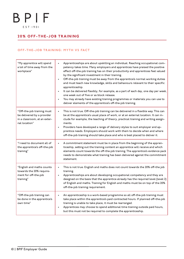# 20% OFF-THE-JOB TRAINING

#### OFF-THE-JOB TRAINING: MYTH VS FACT

| "My apprentice will spend<br>a lot of time away from the<br>workplace"                                    | Apprenticeships are about upskilling an individual. Reaching occupational com-<br>$\bullet$<br>petency takes time. Many employers and apprentices have praised the positive<br>effect off-the-job training has on their productivity and apprentices feel valued<br>by the significant investment in their training.<br>Off-the-job training must be away from the apprentice's normal working duties<br>and must teach new knowledge, skills and behaviours relevant to their specific<br>apprenticeship.<br>It can be delivered flexibly, for example, as a part of each day, one day per week,<br>one week out of five or as block release.<br>You may already have existing training programmes or materials you can use to<br>deliver elements of the apprentice's off-the-job training. |
|-----------------------------------------------------------------------------------------------------------|-----------------------------------------------------------------------------------------------------------------------------------------------------------------------------------------------------------------------------------------------------------------------------------------------------------------------------------------------------------------------------------------------------------------------------------------------------------------------------------------------------------------------------------------------------------------------------------------------------------------------------------------------------------------------------------------------------------------------------------------------------------------------------------------------|
| "Off-the-job training must<br>be delivered by a provider<br>in a classroom, at an exter-<br>nal location" | This is not true. Off-the-job training can be delivered in a flexible way. This can<br>۰<br>be at the apprentice's usual place of work, or at an external location. It can in-<br>clude for example, the teaching of theory, practical training and writing assign-<br>ments.<br>Providers have developed a range of delivery styles to suit employer and ap-<br>$\bullet$<br>prentice needs. Employers should work with them to decide when and where<br>off-the-job training should take place and who is best placed to deliver it.                                                                                                                                                                                                                                                        |
| "I need to document all of<br>the apprentice's off-the-job<br>training"                                   | A commitment statement must be in place from the beginning of the appren-<br>۰<br>ticeship, setting out the training content an apprentice will receive and which<br>elements count towards the off-the-job training. The apprentice's evidence pack<br>needs to demonstrate what training has been delivered against the commitment<br>statement.                                                                                                                                                                                                                                                                                                                                                                                                                                            |
| "English and maths counts<br>towards the 20% require-<br>ment for off-the-job<br>training"                | This is not true: English and maths does not count towards the 20% off-the job<br>۰<br>training.<br>Apprenticeships are about developing occupational competency and they are<br>designed on the basis that the apprentice already has the required level (level 2)<br>of English and maths. Training for English and maths must be on top of the 20%<br>off-the-job training requirement.                                                                                                                                                                                                                                                                                                                                                                                                    |
| "Off-the-job training can<br>be done in the apprentice's<br>own time"                                     | An apprenticeship is a work-based programme so all off-the-job training must<br>۰<br>take place within the apprentice's paid contracted hours. If planned off-the-job<br>training is unable to take place, it must be rearranged.<br>Apprentices may choose to spend additional time training outside paid hours,<br>٠<br>but this must not be required to complete the apprenticeship.                                                                                                                                                                                                                                                                                                                                                                                                       |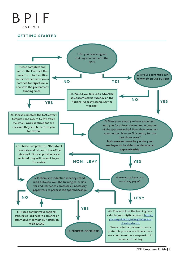# GETTING STARTED

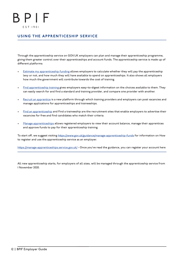# USING THE APPRENTICESHIP SERVICE

Through the apprenticeship service on GOV.UK employers can plan and manage their apprenticeship programme, giving them greater control over their apprenticeships and account funds. The apprenticeship service is made up of different platforms:

- Estimate my apprenticeship funding allows employers to calculate whether they will pay the apprenticeship levy or not, and how much they will have available to spend on apprenticeships. It also shows all employers how much the government will contribute towards the cost of training.
- Find apprenticeship training gives employers easy-to-digest information on the choices available to them. They can easily search for and find a standard and training provider, and compare one provider with another.
- Recruit an apprentice is a new platform through which training providers and employers can post vacancies and manage applications for apprenticeships and traineeships.
- Find an apprenticeship and Find a traineeship are the recruitment sites that enable employers to advertise their vacancies for free and find candidates who match their criteria.
- Manage apprenticeships allows registered employers to view their account balance, manage their apprentices and approve funds to pay for their apprenticeship training.

To start off, we suggest visiting https://www.gov.uk/guidance/manage-apprenticeship-funds for information on How to register and use the apprenticeship service as an employer.

https://manage-apprenticeships.service.gov.uk/ - Once you've read the guidance, you can register your account here

All new apprenticeship starts, for employers of all sizes, will be managed through the apprenticeship service from 1 November 2020.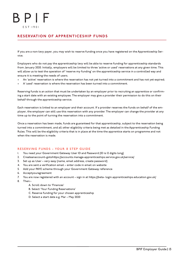# RESERVATION OF APPRENTICESHIP FUNDS

If you are a non-levy payer, you may wish to reserve funding once you have registered on the Apprenticeship Service.

Employers who do not pay the apprenticeship levy will be able to reserve funding for apprenticeship standards from January 2020. Initially, employers will be limited to three 'active or used' reservations at any given time. This will allow us to test the operation of 'reserve my funding' on the apprenticeship service in a controlled way and ensure it is meeting the needs of users.

- An 'active' reservation is where the reservation has not yet turned into a commitment and has not yet expired;
- A 'used' reservation is where the reservation has been turned into a commitment.

Reserving funds is an action that must be undertaken by an employer prior to recruiting an apprentice or confirming a start date with an existing employee. The employer may give a provider their permission to do this on their behalf through the apprenticeship service.

Each reservation is linked to an employer and their account. If a provider reserves the funds on behalf of the employer, the employer can still use this reservation with any provider. The employer can change the provider at any time up to the point of turning the reservation into a commitment.

Once a reservation has been made, funds are guaranteed for that apprenticeship, subject to the reservation being turned into a commitment, and all other eligibility criteria being met as detailed in the Apprenticeship Funding Rules. This will be the eligibility criteria that is in place at the time the apprentice starts on programme and not when the reservation is made.

#### RESERVING FUNDS - YOUR 8 STEP GUIDE

- 1. You need your Government Gateway User ID and Password (ID is 12 digits long)
- 2. Createanaccount–gotohttps://accounts.manage-apprenticeships.service.gov.uk/service/
- 3. Set up as User very easy (name, email address, create password)
- 4. You are sent a verification email enter code in email on website
- 5. Add your PAYE scheme through your Government Gateway reference
- 6. Acceptyouragreement
- 7. You are now registered with an account sign in at https://beta- login.apprenticeships.education.gov.uk/
- 8. Then:-
	- A. Scroll down to 'Finances'
	- B. Select 'Your Funding Reservations'
	- C. Reserve funding for your chosen apprenticeship
	- D. Select a start date e.g. Mar May 2020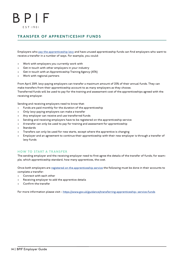# TRANSFER OF APPRENTICESHIP FUNDS

Employers who pay the apprenticeship levy and have unused apprenticeship funds can find employers who want to receive a transfer in a number of ways. For example, you could:

- Work with employers you currently work with
- Get in touch with other employers in your industry
- Get in touch with an Apprenticeship Training Agency (ATA)
- Work with regional partners

From April 2019, levy-paying employers can transfer a maximum amount of 25% of their annual funds. They can make transfers from their apprenticeship account to as many employers as they choose. Transferred funds will be used to pay for the training and assessment cost of the apprenticeships agreed with the receiving employer.

Sending and receiving employers need to know that:

- Funds are paid monthly for the duration of the apprenticeship
- Only levy-paying employers can make a transfer
- Any employer can receive and use transferred funds
- Sending and receiving employers have to be registered on the apprenticeship service
- A transfer can only be used to pay for training and assessment for apprenticeship
- **Standards**
- Transfers can only be used for new starts, except where the apprentice is changing
- Employer and an agreement to continue their apprenticeship with their new employer is through a transfer of levy funds

#### HOW TO START A TRANSFER

The sending employer and the receiving employer need to first agree the details of the transfer of funds; for example, which apprenticeship standard, how many apprentices, the cost.

Once both employers are registered on the apprenticeship service the following must be done in their accounts to complete a transfer:

- Connect with each other
- Receiving employer to add the apprentice details
- Confirm the transfer

For more information please visit - https://www.gov.uk/guidance/transferring-apprenticeship- service-funds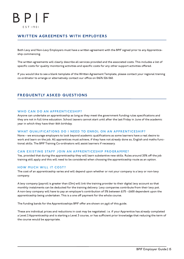# WRITTEN AGREEMENTS WITH EMPLOYERS

Both Levy and Non-Levy Employers must have a written agreement with the BPIF signed prior to any Apprenticeship commencing.

The written agreements will clearly describe all services provided and the associated costs. This includes a list of specific costs for quality monitoring activities and specific costs for any other support activities offered.

If you would like to see a blank template of the Written Agreement Template, please contact your regional training co-ordinator to arrange or alternatively contact our office on 01676 526 060.

# FREQUENTLY ASKED QUESTIONS

#### WHO CAN DO AN APPRENTICESHIP?

Anyone can undertake an apprenticeship as long as they meet the government funding rules specifications and they are not in full time education. School leavers cannot start until after the last Friday in June of the academic year in which they have their 16th birthday.

#### WHAT QUALIFICATIONS DO I NEED TO ENROL ON AN APPRENTICESHIP?

None – we encourage employers to look beyond academic qualifications as some learners have a real desire to work and learn on the job. All apprentices must achieve, if they have not already done so, English and maths functional skills. The BPIF Training Co-ordinators will assist learners if necessary.

#### CAN EXISTING STAFF JOIN AN APPRENTICESHIP PROGRAMME?

Yes, provided that during the apprenticeship they will learn substantive new skills. Rules around 20% off the job training still apply and this will need to be considered when choosing the apprenticeship route as an option.

#### HOW MUCH WILL IT COST?

The cost of an apprenticeship varies and will depend upon whether or not your company is a levy or non-levy company.

A levy company (payroll is greater than £3m) will link the training provider to their digital levy account so that monthly instalments can be deducted for the training delivery. Levy companies contribute from their levy pot. A non-levy company will have to pay an employer's contribution of 5% between £175 - £600 dependent upon the apprenticeship being undertaken. This is a one off payment for the whole course.

The funding bands for the Apprenticeships BPIF offer are shown on pg.6 of this guide.

These are individual prices and reductions in cost may be negotiated. i.e. if your Apprentice has already completed a Level 2 Apprenticeship and is starting a Level 3 course, or has sufficient prior knowledge that reducing the term of the course would be appropriate.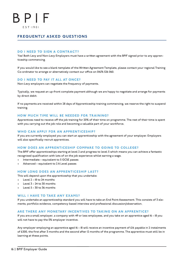### FREQUENTLY ASKED QUESTIONS

#### DO I NEED TO SIGN A CONTRACT?

Yes! Both Levy and Non-Levy Employers must have a written agreement with the BPIF signed prior to any apprenticeship commencing.

If you would like to see a blank template of the Written Agreement Template, please contact your regional Training Co-ordinator to arrange or alternatively contact our office on 01676 526 060.

#### DO I NEED TO PAY IT ALL AT ONCE?

Non-Levy employers can negotiate the frequency of payments.

Typically, we request an up-front complete payment although we are happy to negotiate and arrange for payments by direct debit.

If no payments are received within 28 days of Apprenticeship training commencing, we reserve the right to suspend training.

#### HOW MUCH TIME WILL BE NEEDED FOR TRAINING?

Apprentices need to receive off the job training for 20% of their time on programme. The rest of their time is spent with you carrying out the job role and becoming a valuable part of your workforce.

#### WHO CAN APPLY FOR AN APPRENTICESHIP?

If you are currently employed you can start an apprenticeship with the agreement of your employer. Employers will also specifically recruit apprentices.

#### HOW DOES AN APPRENTICESHIP COMPARE TO GOING TO COLLEGE?

The BPIF offer apprenticeships starting at level 2 and progress to level 5 which means you can achieve a fantastic recognised qualification with lots of on the job experience whilst earning a wage.

- Intermediate equivalent to 5 GCSE passes
- Advanced equivalent to 2 A Level passes

#### HOW LONG DOES AN APPRENTICESHIP LAST?

This will depend upon the apprenticeship that you undertake:

- Level 2 18 to 24 months
- Level 3 24 to 30 months
- $leve1 5 30$  to 36 months

#### WILL I HAVE TO TAKE ANY EXAMS?

If you undertake an apprenticeship standard you will have to take an End Point Assessment. This consists of 3 elements; portfolio evidence, competency based interview and professional discussion/observation.

#### ARE THERE ANY MONETARY INCENTIVES TO TAKING ON AN APPRENTICE?

If you are a small employer, a company with 49 or less employees, and you take on an apprentice aged 16 – 18 you will not have to pay the 5% employer incentive.

Any employer employing an apprentice aged 16 – 18 will receive an incentive payment of £1k payable in 2 instalments of £500, the first after 3 months and the second after 12 months of the programme. The apprentice must still be in learning at these points.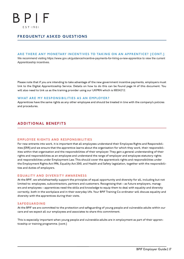### FREQUENTLY ASKED QUESTIONS

#### ARE THERE ANY MONETARY INCENTIVES TO TAKING ON AN APPRENTICE? (CONT.)

We recommend visiting https://www.gov.uk/guidance/incentive-payments-for-hiring-a-new-apprentice to view the current Apprenticeship incentives.

Please note that if you are intending to take advantage of the new government incentive payments, employers must link to the Digital Apprenticeship Service. Details on how to do this can be found page 14 of this document. You will also need to link us as the training provider using our UKPRN which is 10034212.

#### WHAT ARE MY RESPONSIBILITIES AS AN EMPLOYER?

Apprentices have the same rights as any other employee and should be treated in line with the company's policies and procedures.

### ADDITIONAL BENEFITS

#### EMPLOYEE RIGHTS AND RESPONSIBILITIES

For new entrants into work, it is important that all employees understand their Employee Rights and Responsibilities (ERR) and we ensure that the apprentice learns about the organisation for which they work, their responsibilities within that organisation and the responsibilities of their employer. They gain a general understanding of their rights and responsibilities as an employee and understand the range of employer and employee statutory rights and responsibilities under Employment Law. This should cover the apprentice's rights and responsibilities under the Employment Rights Act 1996, Equality Act 2010, and Health and Safety legislation, together with the responsibilities and duties of employers.

#### EQUALITY AND DIVERSITY AWARENESS

At the BPIF, we wholeheartedly support the principles of equal opportunity and diversity for all, including but not limited to: employees, subcontractors, partners and customers. Recognising that – as future employers, managers and employees – apprentices need the skills and knowledge to equip them to deal with equality and diversity correctly, both in the workplace and in their everyday life. Your BPIF Training Co-ordinator will discuss equality and diversity with the apprentices during their visits.

#### SAFEGUARDING

At the BPIF we are committed to the protection and safeguarding of young people and vulnerable adults within our care and we expect all our employees and associates to share this commitment.

This is especially important when young people and vulnerable adults are in employment as part of their apprenticeship or training programme. (cont.)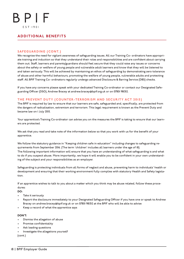### ADDITIONAL BENEFITS

#### SAFEGUARDING (CONT.)

We recognise the need for vigilant awareness of safeguarding issues. All our Training Co- ordinators have appropriate training and induction so that they understand their roles and responsibilities and are confident about carrying them out. Staff, learners and parents/guardians should feel secure that they could raise any issues or concerns about the safety or welfare of young people and vulnerable adult learners and know that they will be listened to and taken seriously. This will be achieved by maintaining an ethos of safeguarding by demonstrating zero tolerance of abuse and other harmful behaviours, promoting the welfare of young people, vulnerable adults and protecting staff. All BPIF Training Co- ordinators regularly undergo advanced Disclosure & Barring Service (DBS) checks.

If you have any concerns please speak with your dedicated Training Co-ordinator or contact our Designated Safeguarding Officer (DSO), Andrew Bracey at andrew.bracey@bpif.org.uk or on 07801 981312.

#### THE PREVENT DUTY (COUNTER-TERRORISM AND SECURITY ACT 2015)

The BPIF is required by law to ensure that our learners are safe, safeguarded and, specifically, are protected from the dangers of radicalisation, extremism and terrorism. This legal requirement is known as the Prevent Duty and became law on 1 July 2015.

Your apprentice's Training Co-ordinator can advise you on the measures the BPIF is taking to ensure that our learners are protected.

We ask that you read and take note of the information below so that you work with us for the benefit of your apprentice.

We follow the statutory guidance in "Keeping children safe in education" including changes to safeguarding requirements from September 2016. (The term 'children' includes all learners under the age of 18). The following important information will ensure that you have an understanding of what safeguarding is and what to do if you suspect abuse. More importantly, we hope it will enable you to be confident in your own understanding of the subject and your responsibilities as an employer.

Safeguarding is protecting individuals from all forms of neglect and abuse, preventing harm to individuals' health or development and ensuring that their working environment fully complies with statutory Health and Safety legislation.

If an apprentice wishes to talk to you about a matter which you think may be abuse related, follow these procedures:

DO:

- Take it seriously
- Report the disclosure immediately to your Designated Safeguarding Officer if you have one or speak to Andrew Bracey on andrew.bracey@bpif.org.uk or on 07801 981312 at the BPIF who will be able to advise
- Keep a record of what the apprentice says

#### DON'T:

- Dismiss the allegation of abuse
- Promise confidentiality
- Ask leading questions
- Investigate the allegations yourself

(cont.)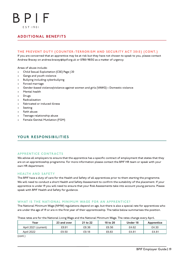### ADDITIONAL BENEFITS

#### THE PREVENT DUTY (COUNTER-TERRORISM AND SECURITY ACT 2015) (CONT.)

If you are concerned that an apprentice may be at risk but they have not chosen to speak to you, please contact Andrew Bracey on andrew.bracey@bpif.org.uk or 07801 981312 as a matter of urgency.

Areas of abuse include:

- Child Sexual Exploitation (CSE) Page | 20
- Gangs and youth violence
- Bullying including cyberbullying
- Forced marriage
- Gender-based violence/violence against women and girls (VAWG) Domestic violence
- Mental health
- Drugs
- **Radicalisation**
- Fabricated or induced illness
- **Sexting**
- Faith abuse
- Teenage relationship abuse
- Female Genital Mutilation (FGM)

### YOUR RESPONSIBILITIES

#### APPRENTICE CONTRACTS

We advise all employers to ensure that the apprentice has a specific contract of employment that states that they are on an apprenticeship programme. For more information please contact the BPIF HR team or speak with your own HR department.

#### HEALTH AND SAFETY

The BPIF have a duty of care for the Health and Safety of all apprentices prior to them starting the programme. We will need to conduct a short Health and Safety Assessment to confirm the suitability of the placement. If your apprentice is under 19 you will need to ensure that your Risk Assessments take into account young persons. Please speak with BPIF Health and Safety for guidance.

#### WHAT IS THE NATIONAL MINIMUM WAGE FOR AN APPRENTICE?

The National Minimum Wage (NMW) regulations depend on age, but there is also a special rate for apprentices who are under the age of 19 or are in the first year of their apprenticeship. The table below summarises the position.

These rates are for the National Living Wage and the National Minimum Wage. The rates change every April.

| Year                 | 23 and over | 21 to 22 | 18 to 20 | Under 18 | <b>Apprentice</b> |
|----------------------|-------------|----------|----------|----------|-------------------|
| April 2021 (current) | £8.91       | £8.36    | £6.56    | £4.62    | £4.30             |
| April 2022           | £9.50       | £9.18    | £6.83    | £4.81    | £4.81             |
| $\ell = -1$          |             |          |          |          |                   |

(cont.)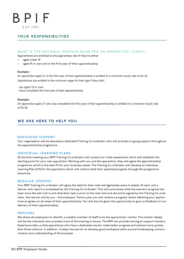### YOUR RESPONSIBILITIES

#### WHAT IS THE NATIONAL MINIMUM WAGE FOR AN APPRENTICE? (CONT.)

Apprentices are entitled to the apprentice rate if they're either:

- aged under 19
- aged I9 or over and in the first year of their apprenticeship

#### Example:

An apprentice aged 21 in the first year of their apprenticeship is entitled to a minimum hourly rate of £4.30.

Apprentices are entitled to the minimum wage for their age if they both:

- are aged 19 or over

- have completed the first year of their apprenticeship

#### Example:

An apprentice aged 21 who has completed the first year of their apprenticeship is entitled to a minimum hourly rate of £8.36.

### WE ARE HERE TO HELP YOU

#### DEDICATED SUPPORT

Your organisation will be allocated a dedicated Training Co-ordinator who will provide on-going support throughout the apprenticeship programme.

#### INDIVIDUAL LEARNING PLANS

At the first meeting your BPIF Training Co-ordinator will conduct an initial assessment which will establish the starting point for your new apprentice. Working with you and the apprentice, they will agree the apprenticeship programme which is the best fit for your business needs. The Training Co-ordinator will develop an Individual Learning Plan (ILP) for the apprentice which will outline what their expected progress through the programme should be.

#### REGULAR UPDATES

Your BPIF Training Co-ordinator will agree the date for their next visit (generally every 6 weeks). At each visit a learner visit report is completed by the Training Co-ordinator. This will summarise what the learner's progress has been since the last visit is and what their task is prior to the next visit and should be signed by the Training Co-ordinator, the learner and by you – the employer. Twice a year you will receive a progress review detailing your apprentice's progress on all areas of their apprenticeship. You will also be given the opportunity to give us feedback on our delivery of their apprenticeship.

#### **MENTORS**

We advise all employers to identify a suitable member of staff to be the apprentices' mentor. The mentor ideally will be the individual who provides most of the training in-house. The BPIF can provide training to support mentors. Experience tells us that apprentices who have a dedicated mentor make better progress and achieve more quickly than those without. In addition, it helps the learner to develop good workplace skills around timekeeping, communication and understanding of the business.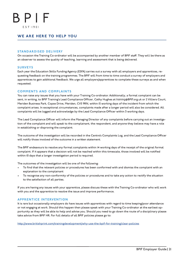### WE ARE HERE TO HELP YOU

#### STANDARDISED DELIVERY

On occasion the Training Co-ordinator will be accompanied by another member of BPIF staff. They will be there as an observer to assess the quality of teaching, learning and assessment that is being delivered.

#### **SURVEYS**

Each year the Education Skills Funding Agency (ESFA) carries out a survey with all employers and apprentices, requesting feedback on the training programmes. The BPIF will from time to time conduct a survey of employers and apprentices to gain additional feedback. We urge all employers/apprentices to complete these surveys as and when requested.

#### COMMENTS AND COMPLAINTS

You can raise any issues that you have with your Training Co-ordinator. Additionally, a formal complaint can be sent, in writing, to BPIF Training's Lead Compliance Officer, Cathy Hughes at training@BPIF.org.uk or 2 Villiers Court, Meriden Business Park, Copse Drive, Meriden, CV5 9RN, within 15 working days of the incident from which the complaint arises. In exceptional circumstances, complaints made after a longer period will also be considered. All complaints will be logged and acknowledge by the Lead Compliance Officer within 3 working days.

The Lead Compliance Officer will inform the Managing Director of any complaints before carrying out an investigation of the complaint and will speak to the complainant, the respondent, and anyone they believe may have a role in establishing or disproving the complaint.

The outcome of the investigation will be recorded in the Centre's Complaints Log, and the Lead Compliance Officer will notify those involved of the outcome in a written statement.

The BPIF endeavours to resolve any formal complaints within 14 working days of the receipt of the original formal complaint. If it appears that a decision will not be reached within this timescale, those involved will be notified within 10 days that a longer investigation period is required.

The outcomes of the investigation will be one of the following:

- To find that the relevant policies or procedures has been conformed with and dismiss the complaint with an explanation to the complainant
- To recognise any non-conformity of the policies or procedures and to take any action to rectify the situation to the satisfaction of all parties.

If you are having any issues with your apprentice, please discuss these with the Training Co-ordinator who will work with you and the apprentice to resolve the issue and improve performance.

#### APPRENTICE INTERVENTION

It is rare but occasionally employers do have issues with apprentices with regard to time keeping/poor attendance or not engaging at work. Should this happen then please speak with your Training Co-ordinator at the earliest opportunity as they will be able to help and advise you. Should you need to go down the route of a disciplinary please take advice from BPIF HR. For full details of all BPIF policies please go to:

http://www.britishprint.com/trainingdevelopment/why-use-the-bpif-for-training/clear-policies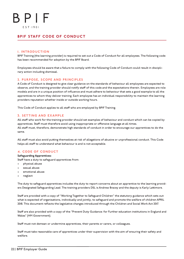### BPIF STAFF CODE OF CONDUCT

#### 1. INTRODUCTION

BPIF Training (the learning provider) is required to set out a Code of Conduct for all employees. The following code has been recommended for adoption by the BPIF Board.

Employees should be aware that a failure to comply with the following Code of Conduct could result in disciplinary action including dismissal.

#### 2. PURPOSE, SCOPE AND PRINCIPLES

A Code of Conduct is designed to give clear guidance on the standards of behaviour all employees are expected to observe, and the training provider should notify staff of this code and the expectations therein. Employees are role models and are in a unique position of influence and must adhere to behaviour that sets a good example to all the apprentices to whom they deliver training. Each employee has an individual responsibility to maintain the learning providers reputation whether inside or outside working hours.

This Code of Conduct applies to all staff who are employed by BPIF Training.

#### 3. SETTING AND EXAMPLE

All staff who work for the training provider should set examples of behaviour and conduct which can be copied by apprentices. Staff must therefore avoid using inappropriate or offensive language at all times. All staff must, therefore, demonstrate high standards of conduct in order to encourage our apprentices to do the same.

All staff must also avoid putting themselves at risk of allegations of abusive or unprofessional conduct. This Code helps all staff to understand what behaviour is and is not acceptable.

#### 4. CODE OF CONDUCT

#### Safeguarding Apprentices:

Staff have a duty to safeguard apprentices from:

- physical abuse
- sexual abuse
- emotional abuse
- neglect

The duty to safeguard apprentices includes the duty to report concerns about an apprentice to the learning providers Designated Safeguarding Lead. The training providers DSL is Andrew Bracey and the deputy is Karly Lattimore.

Staff are provided with a copy of "Working Together to Safeguard Children" the statutory guidance which sets out what is expected of organisations, individually and jointly, to safeguard and promote the welfare of children APRIL 2018. This document reflects the legislative changes introduced through the Children and Social Work Act 2017.

Staff are also provided with a copy of the "Prevent Duty Guidance: for Further education institutions in England and Wales" (HM Government).

Staff must not demean or undermine apprentices, their parents or carers, or colleagues.

Staff must take reasonable care of apprentices under their supervision with the aim of ensuring their safety and welfare.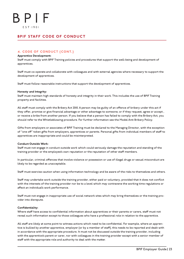### BPIF STAFF CODE OF CONDUCT

#### 4. CODE OF CONDUCT (CONT.)

#### Apprentice Development:

Staff must comply with BPIF Training policies and procedures that support the well-being and development of apprentices.

Staff must co-operate and collaborate with colleagues and with external agencies where necessary to support the development of apprentices.

Staff must follow reasonable instructions that support the development of apprentices.

#### Honesty and Integrity:

Staff must maintain high standards of honesty and integrity in their work. This includes the use of BPIF Training property and facilities.

All staff must comply with the Bribery Act 2010. A person may be guilty of an offence of bribery under this act if they offer, promise or give financial advantage or other advantage to someone; or if they request, agree or accept , or receive a bribe from another person. If you believe that a person has failed to comply with the Bribery Act, you should refer to the Whistleblowing procedure. For further information see the Model Anti Bribery Policy.

Gifts from employers or associates of BPIF Training must be declared to the Managing Director, with the exception of "one off" token gifts from employers, apprentices or parents. Personal gifts from individual members of staff to apprentices are inappropriate and could be misinterpreted.

#### Conduct Outside Work:

Staff must not engage in conduct outside work which could seriously damage the reputation and standing of the training provider or the employee's own reputation or the reputation of other staff members.

In particular, criminal offences that involve violence or possession or use of illegal drugs or sexual misconduct are likely to be regarded as unacceptable.

Staff must exercise caution when using information technology and be aware of the risks to themselves and others.

Staff may undertake work outside the training provider, either paid or voluntary, provided that it does not conflict with the interests of the training provider nor be to a level which may contravene the working time regulations or affect an individual's work performance.

Staff must not engage in inappropriate use of social network sites which may bring themselves or the training provider into disrepute.

#### Confidentiality:

Where staff have access to confidential information about apprentices or their parents or carers, staff must not reveal such information except to those colleagues who have a professional role in relation to the apprentice.

All staff are likely at some point to witness actions which need to be confidential. For example, where an apprentice is bullied by another apprentice, employer (or by a member of staff), this needs to be reported and dealt with in accordance with the appropriate procedure. It must not be discussed outside the training provider, including with the apprentice's parent or carer, nor with colleagues in the training provider except with a senior member of staff with the appropriate role and authority to deal with the matter.